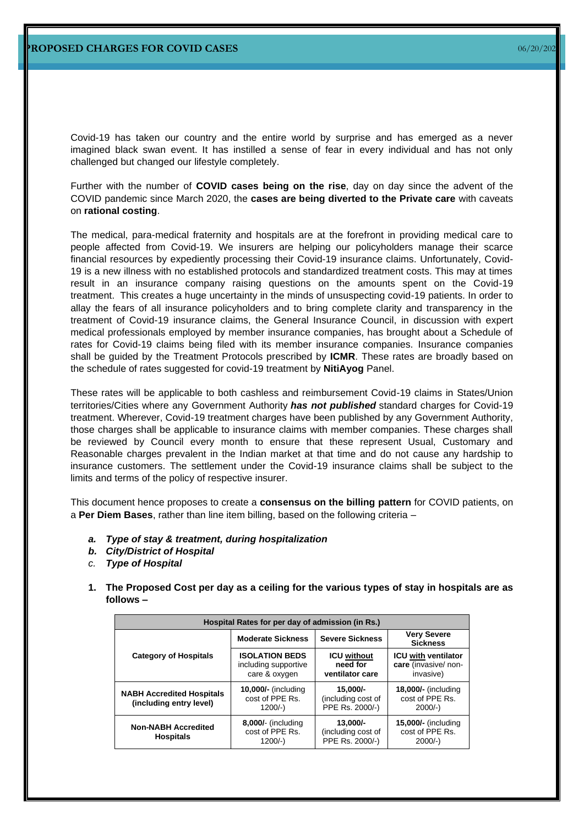Covid-19 has taken our country and the entire world by surprise and has emerged as a never imagined black swan event. It has instilled a sense of fear in every individual and has not only challenged but changed our lifestyle completely.

Further with the number of **COVID cases being on the rise**, day on day since the advent of the COVID pandemic since March 2020, the **cases are being diverted to the Private care** with caveats on **rational costing**.

The medical, para-medical fraternity and hospitals are at the forefront in providing medical care to people affected from Covid-19. We insurers are helping our policyholders manage their scarce financial resources by expediently processing their Covid-19 insurance claims. Unfortunately, Covid-19 is a new illness with no established protocols and standardized treatment costs. This may at times result in an insurance company raising questions on the amounts spent on the Covid-19 treatment. This creates a huge uncertainty in the minds of unsuspecting covid-19 patients. In order to allay the fears of all insurance policyholders and to bring complete clarity and transparency in the treatment of Covid-19 insurance claims, the General Insurance Council, in discussion with expert medical professionals employed by member insurance companies, has brought about a Schedule of rates for Covid-19 claims being filed with its member insurance companies. Insurance companies shall be guided by the Treatment Protocols prescribed by **ICMR**. These rates are broadly based on the schedule of rates suggested for covid-19 treatment by **NitiAyog** Panel.

These rates will be applicable to both cashless and reimbursement Covid-19 claims in States/Union territories/Cities where any Government Authority *has not published* standard charges for Covid-19 treatment. Wherever, Covid-19 treatment charges have been published by any Government Authority, those charges shall be applicable to insurance claims with member companies. These charges shall be reviewed by Council every month to ensure that these represent Usual, Customary and Reasonable charges prevalent in the Indian market at that time and do not cause any hardship to insurance customers. The settlement under the Covid-19 insurance claims shall be subject to the limits and terms of the policy of respective insurer.

This document hence proposes to create a **consensus on the billing pattern** for COVID patients, on a **Per Diem Bases**, rather than line item billing, based on the following criteria –

- *a. Type of stay & treatment, during hospitalization*
- *b. City/District of Hospital*
- *c. Type of Hospital*
- **1. The Proposed Cost per day as a ceiling for the various types of stay in hospitals are as follows –**

| Hospital Rates for per day of admission (in Rs.)            |                                                                |                                                     |                                                                 |  |  |  |  |
|-------------------------------------------------------------|----------------------------------------------------------------|-----------------------------------------------------|-----------------------------------------------------------------|--|--|--|--|
| <b>Category of Hospitals</b>                                | <b>Moderate Sickness</b>                                       | <b>Severe Sickness</b>                              | <b>Very Severe</b><br><b>Sickness</b>                           |  |  |  |  |
|                                                             | <b>ISOLATION BEDS</b><br>including supportive<br>care & oxygen | <b>ICU without</b><br>need for<br>ventilator care   | <b>ICU with ventilator</b><br>care (invasive/ non-<br>invasive) |  |  |  |  |
| <b>NABH Accredited Hospitals</b><br>(including entry level) | <b>10,000/-</b> (including<br>cost of PPE Rs.<br>$1200/-$      | 15.000/-<br>(including cost of<br>PPE Rs. 2000/-)   | <b>18,000/-</b> (including<br>cost of PPE Rs.<br>$2000/-$ )     |  |  |  |  |
| <b>Non-NABH Accredited</b><br><b>Hospitals</b>              | $8,000$ /- (including<br>cost of PPE Rs.<br>$1200/-$           | $13,000/-$<br>(including cost of<br>PPE Rs. 2000/-) | <b>15,000/-</b> (including<br>cost of PPE Rs.<br>$2000/-$ )     |  |  |  |  |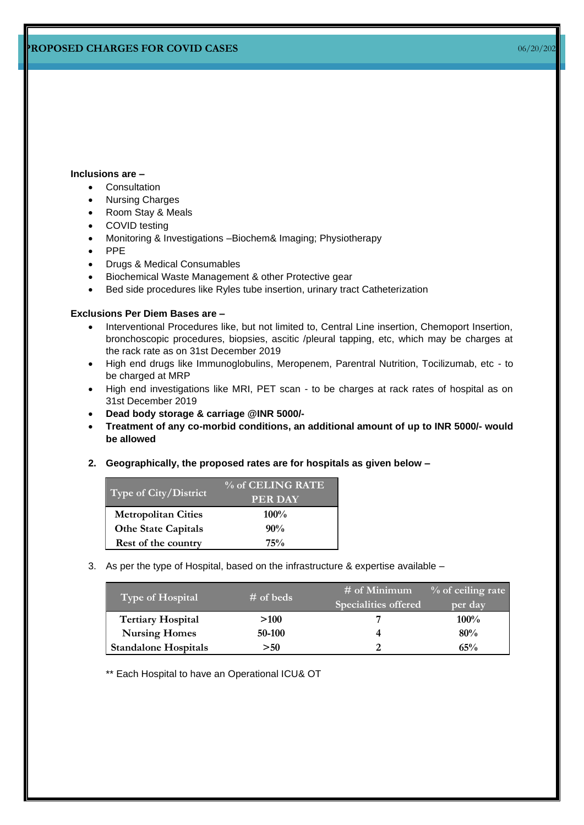# **Inclusions are –**

- Consultation
- Nursing Charges
- Room Stay & Meals
- COVID testing
- Monitoring & Investigations –Biochem& Imaging; Physiotherapy
- PPE
- Drugs & Medical Consumables
- Biochemical Waste Management & other Protective gear
- Bed side procedures like Ryles tube insertion, urinary tract Catheterization

## **Exclusions Per Diem Bases are –**

- Interventional Procedures like, but not limited to, Central Line insertion, Chemoport Insertion, bronchoscopic procedures, biopsies, ascitic /pleural tapping, etc, which may be charges at the rack rate as on 31st December 2019
- High end drugs like Immunoglobulins, Meropenem, Parentral Nutrition, Tocilizumab, etc to be charged at MRP
- High end investigations like MRI, PET scan to be charges at rack rates of hospital as on 31st December 2019
- **Dead body storage & carriage @INR 5000/-**
- **Treatment of any co-morbid conditions, an additional amount of up to INR 5000/- would be allowed**
- **2. Geographically, the proposed rates are for hospitals as given below –**

|                              | % of CELING RATE |  |  |  |  |
|------------------------------|------------------|--|--|--|--|
| <b>Type of City/District</b> | <b>PER DAY</b>   |  |  |  |  |
| <b>Metropolitan Cities</b>   | $100\%$          |  |  |  |  |
| <b>Othe State Capitals</b>   | 90%              |  |  |  |  |
| Rest of the country          | 75%              |  |  |  |  |

3. As per the type of Hospital, based on the infrastructure & expertise available –

|                             |             | $\#$ of Minimum             | $%$ of ceiling rate |  |  |
|-----------------------------|-------------|-----------------------------|---------------------|--|--|
| <b>Type of Hospital</b>     | $#$ of beds | <b>Specialities offered</b> | per day             |  |  |
| <b>Tertiary Hospital</b>    | >100        |                             | $100\%$             |  |  |
| <b>Nursing Homes</b>        | 50-100      | 4                           | 80%                 |  |  |
| <b>Standalone Hospitals</b> | $> \! 50$   |                             | 65%                 |  |  |

\*\* Each Hospital to have an Operational ICU& OT